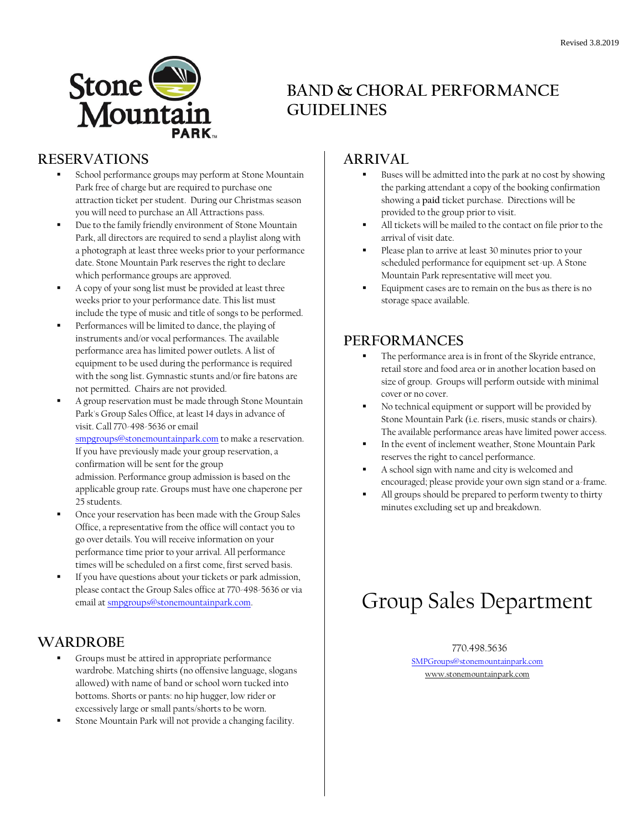

## **BAND & CHORAL PERFORMANCE GUIDELINES**

#### **RESERVATIONS**

- School performance groups may perform at Stone Mountain Park free of charge but are required to purchase one attraction ticket per student. During our Christmas season you will need to purchase an All Attractions pass.
- Due to the family friendly environment of Stone Mountain Park, all directors are required to send a playlist along with a photograph at least three weeks prior to your performance date. Stone Mountain Park reserves the right to declare which performance groups are approved.
- A copy of your song list must be provided at least three weeks prior to your performance date. This list must include the type of music and title of songs to be performed.
- Performances will be limited to dance, the playing of instruments and/or vocal performances. The available performance area has limited power outlets. A list of equipment to be used during the performance is required with the song list. Gymnastic stunts and/or fire batons are not permitted. Chairs are not provided.
- A group reservation must be made through Stone Mountain Park's Group Sales Office, at least 14 days in advance of visit. Call 770-498-5636 or email [smpgroups@stonemountainpark.com](mailto:smpgroups@stonemountainpark.com) to make a reservation. If you have previously made your group reservation, a confirmation will be sent for the group admission. Performance group admission is based on the applicable group rate. Groups must have one chaperone per
- 25 students. Once your reservation has been made with the Group Sales Office, a representative from the office will contact you to go over details. You will receive information on your performance time prior to your arrival. All performance times will be scheduled on a first come, first served basis.
- If you have questions about your tickets or park admission, please contact the Group Sales office at 770-498-5636 or via email a[t smpgroups@stonemountainpark.com.](mailto:smpgroups@stonemountainpark.com)

### **WARDROBE**

- Groups must be attired in appropriate performance wardrobe. Matching shirts (no offensive language, slogans allowed) with name of band or school worn tucked into bottoms. Shorts or pants: no hip hugger, low rider or excessively large or small pants/shorts to be worn.
- Stone Mountain Park will not provide a changing facility.

## **ARRIVAL**

- Buses will be admitted into the park at no cost by showing the parking attendant a copy of the booking confirmation showing a **paid** ticket purchase. Directions will be provided to the group prior to visit.
- All tickets will be mailed to the contact on file prior to the arrival of visit date.
- Please plan to arrive at least 30 minutes prior to your scheduled performance for equipment set-up. A Stone Mountain Park representative will meet you.
- Equipment cases are to remain on the bus as there is no storage space available.

### **PERFORMANCES**

- The performance area is in front of the Skyride entrance, retail store and food area or in another location based on size of group. Groups will perform outside with minimal cover or no cover.
- No technical equipment or support will be provided by Stone Mountain Park (i.e. risers, music stands or chairs). The available performance areas have limited power access.
- In the event of inclement weather, Stone Mountain Park reserves the right to cancel performance.
- A school sign with name and city is welcomed and encouraged; please provide your own sign stand or a-frame.
- All groups should be prepared to perform twenty to thirty minutes excluding set up and breakdown.

# Group Sales Department

#### 770.498.5636

[SMPGroups@stonemountainpark.com](mailto:SMPgroups@stonemountainpark.com) [www.stonemountainpark.com](http://www.stonemountainpark.com/)